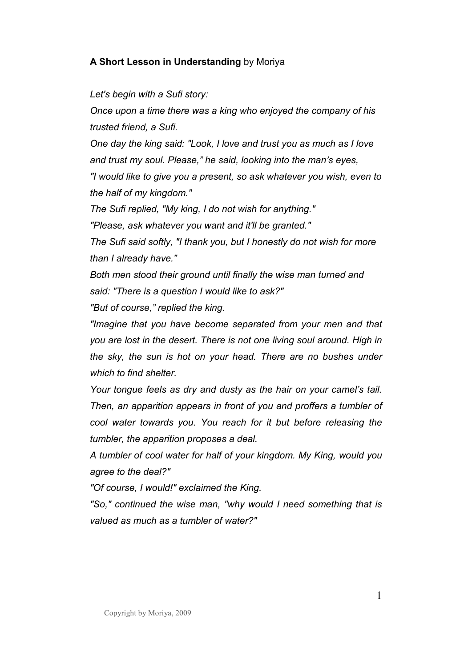## **A Short Lesson in Understanding** by Moriya

## *Let's begin with a Sufi story:*

*Once upon a time there was a king who enjoyed the company of his trusted friend, a Sufi.* 

*One day the king said: "Look, I love and trust you as much as I love and trust my soul. Please," he said, looking into the man's eyes, "I would like to give you a present, so ask whatever you wish, even to the half of my kingdom."* 

*The Sufi replied, "My king, I do not wish for anything."* 

*"Please, ask whatever you want and it'll be granted."* 

*The Sufi said softly, "I thank you, but I honestly do not wish for more than I already have."* 

*Both men stood their ground until finally the wise man turned and said: "There is a question I would like to ask?"* 

*"But of course," replied the king.* 

*"Imagine that you have become separated from your men and that you are lost in the desert. There is not one living soul around. High in the sky, the sun is hot on your head. There are no bushes under which to find shelter.* 

*Your tongue feels as dry and dusty as the hair on your camel's tail. Then, an apparition appears in front of you and proffers a tumbler of cool water towards you. You reach for it but before releasing the tumbler, the apparition proposes a deal.* 

*A tumbler of cool water for half of your kingdom. My King, would you agree to the deal?"* 

*"Of course, I would!" exclaimed the King.* 

*"So," continued the wise man, "why would I need something that is valued as much as a tumbler of water?"*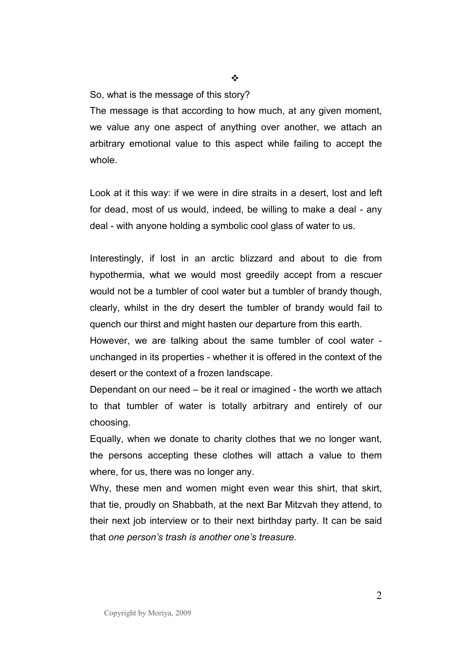So, what is the message of this story?

The message is that according to how much, at any given moment, we value any one aspect of anything over another, we attach an arbitrary emotional value to this aspect while failing to accept the whole.

Look at it this way: if we were in dire straits in a desert, lost and left for dead, most of us would, indeed, be willing to make a deal - any deal - with anyone holding a symbolic cool glass of water to us.

Interestingly, if lost in an arctic blizzard and about to die from hypothermia, what we would most greedily accept from a rescuer would not be a tumbler of cool water but a tumbler of brandy though, clearly, whilst in the dry desert the tumbler of brandy would fail to quench our thirst and might hasten our departure from this earth.

However, we are talking about the same tumbler of cool water unchanged in its properties - whether it is offered in the context of the desert or the context of a frozen landscape.

Dependant on our need – be it real or imagined - the worth we attach to that tumbler of water is totally arbitrary and entirely of our choosing.

Equally, when we donate to charity clothes that we no longer want, the persons accepting these clothes will attach a value to them where, for us, there was no longer any.

Why, these men and women might even wear this shirt, that skirt, that tie, proudly on Shabbath, at the next Bar Mitzvah they attend, to their next job interview or to their next birthday party. It can be said that *one person's trash is another one's treasure.* 

 $\frac{1}{2}$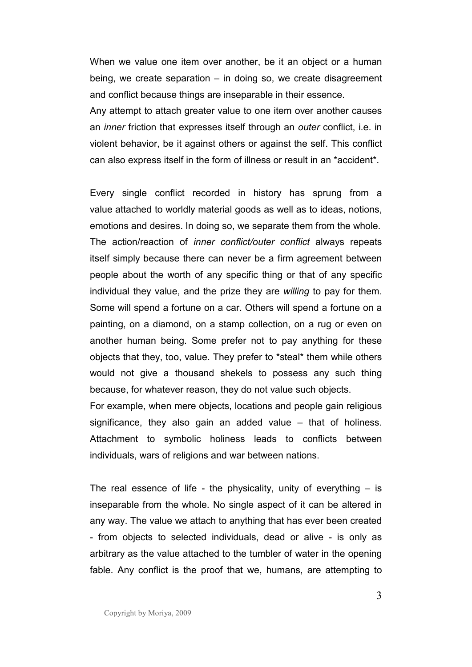When we value one item over another, be it an object or a human being, we create separation – in doing so, we create disagreement and conflict because things are inseparable in their essence.

Any attempt to attach greater value to one item over another causes an *inner* friction that expresses itself through an *outer* conflict, i.e. in violent behavior, be it against others or against the self. This conflict can also express itself in the form of illness or result in an \*accident\*.

Every single conflict recorded in history has sprung from a value attached to worldly material goods as well as to ideas, notions, emotions and desires. In doing so, we separate them from the whole. The action/reaction of *inner conflict/outer conflict* always repeats itself simply because there can never be a firm agreement between people about the worth of any specific thing or that of any specific individual they value, and the prize they are *willing* to pay for them. Some will spend a fortune on a car. Others will spend a fortune on a painting, on a diamond, on a stamp collection, on a rug or even on another human being. Some prefer not to pay anything for these objects that they, too, value. They prefer to \*steal\* them while others would not give a thousand shekels to possess any such thing because, for whatever reason, they do not value such objects.

For example, when mere objects, locations and people gain religious significance, they also gain an added value – that of holiness. Attachment to symbolic holiness leads to conflicts between individuals, wars of religions and war between nations.

The real essence of life - the physicality, unity of everything  $-$  is inseparable from the whole. No single aspect of it can be altered in any way. The value we attach to anything that has ever been created - from objects to selected individuals, dead or alive - is only as arbitrary as the value attached to the tumbler of water in the opening fable. Any conflict is the proof that we, humans, are attempting to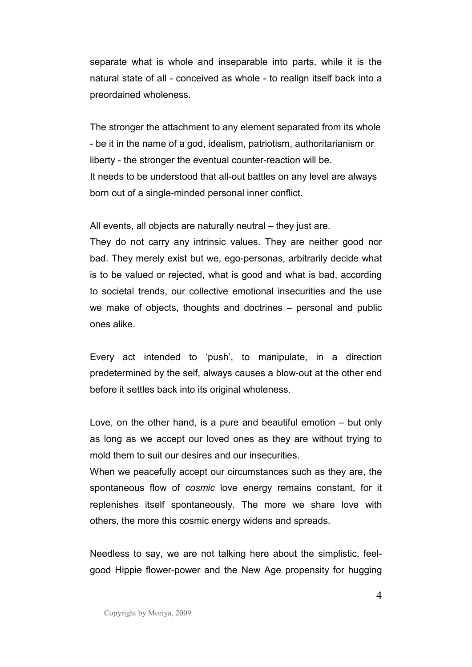separate what is whole and inseparable into parts, while it is the natural state of all - conceived as whole - to realign itself back into a preordained wholeness.

The stronger the attachment to any element separated from its whole - be it in the name of a god, idealism, patriotism, authoritarianism or liberty - the stronger the eventual counter-reaction will be. It needs to be understood that all-out battles on any level are always born out of a single-minded personal inner conflict.

All events, all objects are naturally neutral – they just are.

They do not carry any intrinsic values. They are neither good nor bad. They merely exist but we, ego-personas, arbitrarily decide what is to be valued or rejected, what is good and what is bad, according to societal trends, our collective emotional insecurities and the use we make of objects, thoughts and doctrines – personal and public ones alike.

Every act intended to 'push', to manipulate, in a direction predetermined by the self, always causes a blow-out at the other end before it settles back into its original wholeness.

Love, on the other hand, is a pure and beautiful emotion – but only as long as we accept our loved ones as they are without trying to mold them to suit our desires and our insecurities.

When we peacefully accept our circumstances such as they are, the spontaneous flow of *cosmic* love energy remains constant, for it replenishes itself spontaneously. The more we share love with others, the more this cosmic energy widens and spreads.

Needless to say, we are not talking here about the simplistic, feelgood Hippie flower-power and the New Age propensity for hugging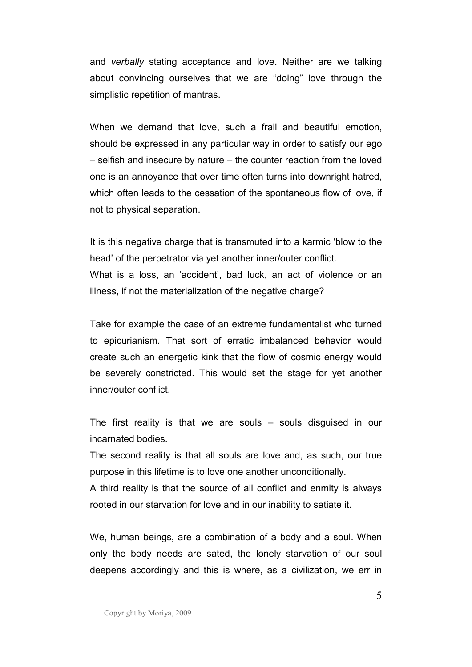and *verbally* stating acceptance and love. Neither are we talking about convincing ourselves that we are "doing" love through the simplistic repetition of mantras.

When we demand that love, such a frail and beautiful emotion, should be expressed in any particular way in order to satisfy our ego – selfish and insecure by nature – the counter reaction from the loved one is an annoyance that over time often turns into downright hatred, which often leads to the cessation of the spontaneous flow of love, if not to physical separation.

It is this negative charge that is transmuted into a karmic 'blow to the head' of the perpetrator via yet another inner/outer conflict. What is a loss, an 'accident', bad luck, an act of violence or an illness, if not the materialization of the negative charge?

Take for example the case of an extreme fundamentalist who turned to epicurianism. That sort of erratic imbalanced behavior would create such an energetic kink that the flow of cosmic energy would be severely constricted. This would set the stage for yet another inner/outer conflict.

The first reality is that we are souls – souls disguised in our incarnated bodies.

The second reality is that all souls are love and, as such, our true purpose in this lifetime is to love one another unconditionally.

A third reality is that the source of all conflict and enmity is always rooted in our starvation for love and in our inability to satiate it.

We, human beings, are a combination of a body and a soul. When only the body needs are sated, the lonely starvation of our soul deepens accordingly and this is where, as a civilization, we err in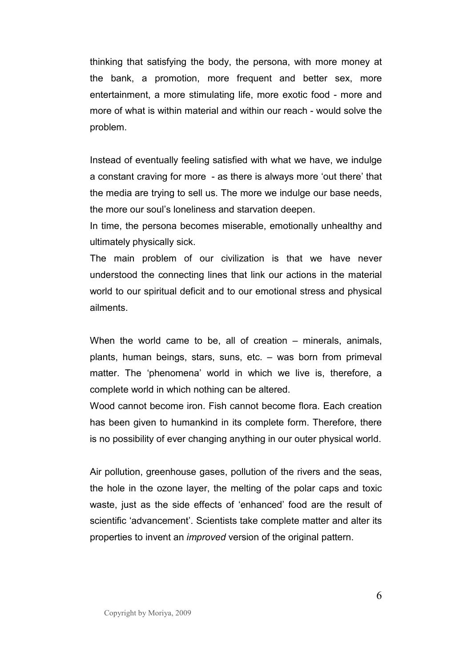thinking that satisfying the body, the persona, with more money at the bank, a promotion, more frequent and better sex, more entertainment, a more stimulating life, more exotic food - more and more of what is within material and within our reach - would solve the problem.

Instead of eventually feeling satisfied with what we have, we indulge a constant craving for more - as there is always more 'out there' that the media are trying to sell us. The more we indulge our base needs, the more our soul's loneliness and starvation deepen.

In time, the persona becomes miserable, emotionally unhealthy and ultimately physically sick.

The main problem of our civilization is that we have never understood the connecting lines that link our actions in the material world to our spiritual deficit and to our emotional stress and physical ailments.

When the world came to be, all of creation – minerals, animals, plants, human beings, stars, suns, etc. – was born from primeval matter. The 'phenomena' world in which we live is, therefore, a complete world in which nothing can be altered.

Wood cannot become iron. Fish cannot become flora. Each creation has been given to humankind in its complete form. Therefore, there is no possibility of ever changing anything in our outer physical world.

Air pollution, greenhouse gases, pollution of the rivers and the seas, the hole in the ozone layer, the melting of the polar caps and toxic waste, just as the side effects of 'enhanced' food are the result of scientific 'advancement'. Scientists take complete matter and alter its properties to invent an *improved* version of the original pattern.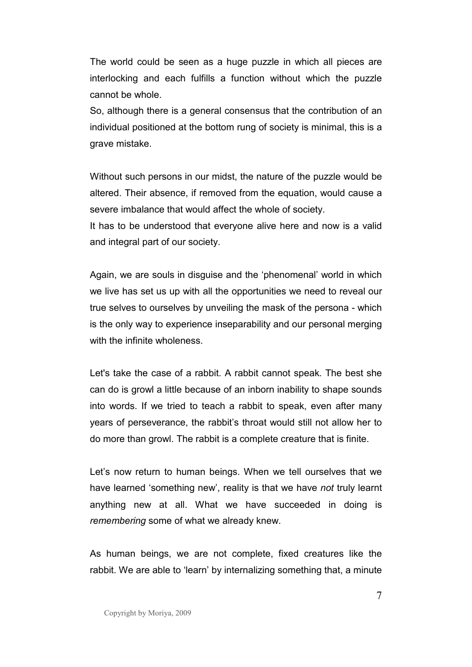The world could be seen as a huge puzzle in which all pieces are interlocking and each fulfills a function without which the puzzle cannot be whole.

So, although there is a general consensus that the contribution of an individual positioned at the bottom rung of society is minimal, this is a grave mistake.

Without such persons in our midst, the nature of the puzzle would be altered. Their absence, if removed from the equation, would cause a severe imbalance that would affect the whole of society.

It has to be understood that everyone alive here and now is a valid and integral part of our society.

Again, we are souls in disguise and the 'phenomenal' world in which we live has set us up with all the opportunities we need to reveal our true selves to ourselves by unveiling the mask of the persona - which is the only way to experience inseparability and our personal merging with the infinite wholeness.

Let's take the case of a rabbit. A rabbit cannot speak. The best she can do is growl a little because of an inborn inability to shape sounds into words. If we tried to teach a rabbit to speak, even after many years of perseverance, the rabbit's throat would still not allow her to do more than growl. The rabbit is a complete creature that is finite.

Let's now return to human beings. When we tell ourselves that we have learned 'something new', reality is that we have *not* truly learnt anything new at all. What we have succeeded in doing is *remembering* some of what we already knew.

As human beings, we are not complete, fixed creatures like the rabbit. We are able to 'learn' by internalizing something that, a minute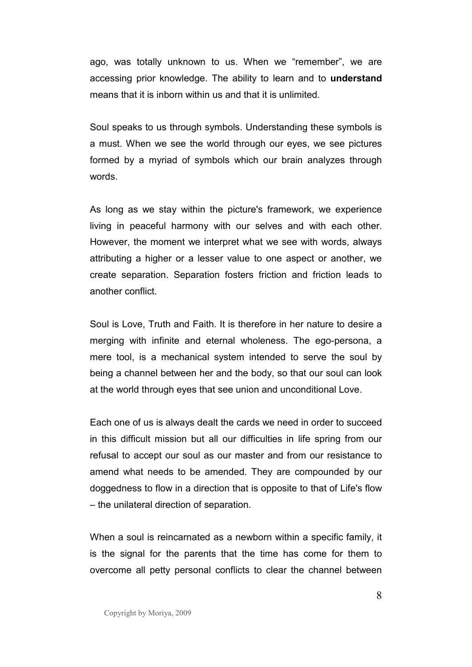ago, was totally unknown to us. When we "remember", we are accessing prior knowledge. The ability to learn and to **understand** means that it is inborn within us and that it is unlimited.

Soul speaks to us through symbols. Understanding these symbols is a must. When we see the world through our eyes, we see pictures formed by a myriad of symbols which our brain analyzes through words.

As long as we stay within the picture's framework, we experience living in peaceful harmony with our selves and with each other. However, the moment we interpret what we see with words, always attributing a higher or a lesser value to one aspect or another, we create separation. Separation fosters friction and friction leads to another conflict.

Soul is Love, Truth and Faith. It is therefore in her nature to desire a merging with infinite and eternal wholeness. The ego-persona, a mere tool, is a mechanical system intended to serve the soul by being a channel between her and the body, so that our soul can look at the world through eyes that see union and unconditional Love.

Each one of us is always dealt the cards we need in order to succeed in this difficult mission but all our difficulties in life spring from our refusal to accept our soul as our master and from our resistance to amend what needs to be amended. They are compounded by our doggedness to flow in a direction that is opposite to that of Life's flow – the unilateral direction of separation.

When a soul is reincarnated as a newborn within a specific family, it is the signal for the parents that the time has come for them to overcome all petty personal conflicts to clear the channel between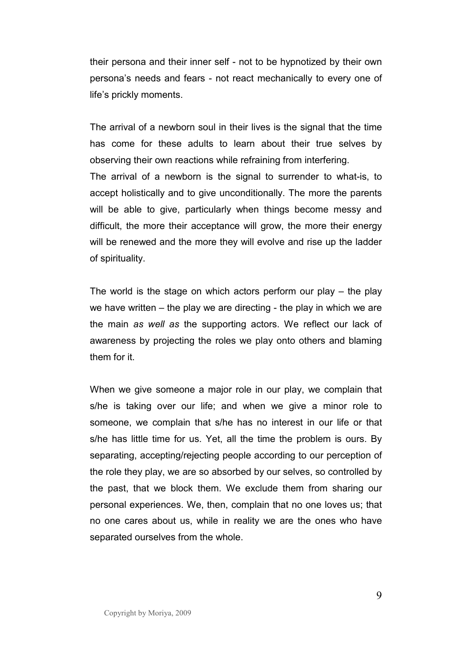their persona and their inner self - not to be hypnotized by their own persona's needs and fears - not react mechanically to every one of life's prickly moments.

The arrival of a newborn soul in their lives is the signal that the time has come for these adults to learn about their true selves by observing their own reactions while refraining from interfering. The arrival of a newborn is the signal to surrender to what-is, to accept holistically and to give unconditionally. The more the parents will be able to give, particularly when things become messy and difficult, the more their acceptance will grow, the more their energy will be renewed and the more they will evolve and rise up the ladder of spirituality.

The world is the stage on which actors perform our play – the play we have written – the play we are directing - the play in which we are the main *as well as* the supporting actors. We reflect our lack of awareness by projecting the roles we play onto others and blaming them for it.

When we give someone a major role in our play, we complain that s/he is taking over our life; and when we give a minor role to someone, we complain that s/he has no interest in our life or that s/he has little time for us. Yet, all the time the problem is ours. By separating, accepting/rejecting people according to our perception of the role they play, we are so absorbed by our selves, so controlled by the past, that we block them. We exclude them from sharing our personal experiences. We, then, complain that no one loves us; that no one cares about us, while in reality we are the ones who have separated ourselves from the whole.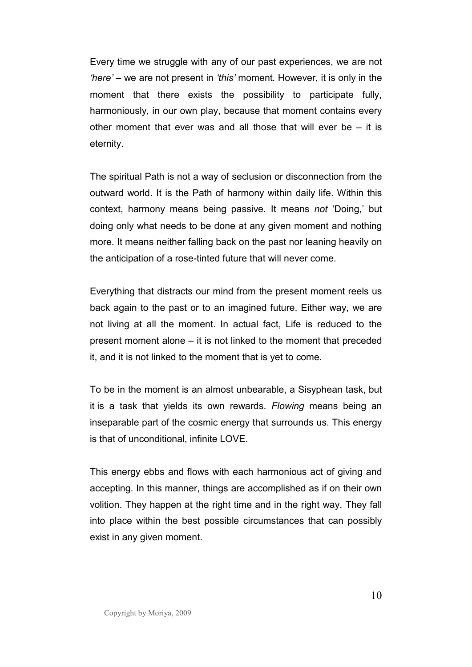Every time we struggle with any of our past experiences, we are not *'here' –* we are not present in *'this'* moment*.* However, it is only in the moment that there exists the possibility to participate fully, harmoniously, in our own play, because that moment contains every other moment that ever was and all those that will ever be  $-$  it is eternity.

The spiritual Path is not a way of seclusion or disconnection from the outward world. It is the Path of harmony within daily life. Within this context, harmony means being passive. It means *not* 'Doing,' but doing only what needs to be done at any given moment and nothing more. It means neither falling back on the past nor leaning heavily on the anticipation of a rose-tinted future that will never come.

Everything that distracts our mind from the present moment reels us back again to the past or to an imagined future. Either way, we are not living at all the moment. In actual fact, Life is reduced to the present moment alone – it is not linked to the moment that preceded it, and it is not linked to the moment that is yet to come.

To be in the moment is an almost unbearable, a Sisyphean task, but it is a task that yields its own rewards. *Flowing* means being an inseparable part of the cosmic energy that surrounds us. This energy is that of unconditional, infinite LOVE.

This energy ebbs and flows with each harmonious act of giving and accepting. In this manner, things are accomplished as if on their own volition. They happen at the right time and in the right way. They fall into place within the best possible circumstances that can possibly exist in any given moment.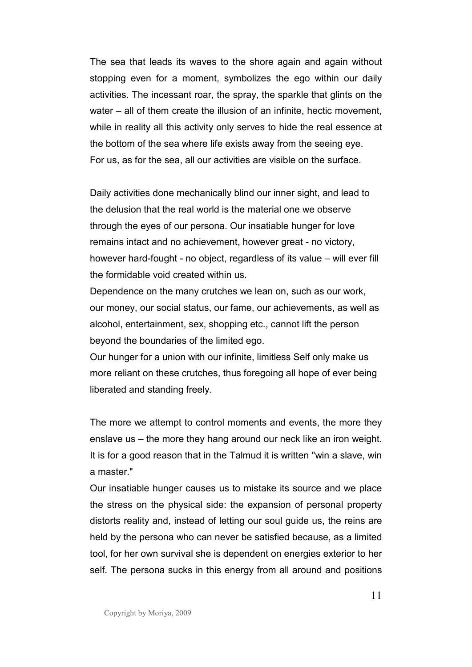The sea that leads its waves to the shore again and again without stopping even for a moment, symbolizes the ego within our daily activities. The incessant roar, the spray, the sparkle that glints on the water – all of them create the illusion of an infinite, hectic movement, while in reality all this activity only serves to hide the real essence at the bottom of the sea where life exists away from the seeing eye. For us, as for the sea, all our activities are visible on the surface.

Daily activities done mechanically blind our inner sight, and lead to the delusion that the real world is the material one we observe through the eyes of our persona. Our insatiable hunger for love remains intact and no achievement, however great - no victory, however hard-fought - no object, regardless of its value – will ever fill the formidable void created within us.

Dependence on the many crutches we lean on, such as our work, our money, our social status, our fame, our achievements, as well as alcohol, entertainment, sex, shopping etc., cannot lift the person beyond the boundaries of the limited ego.

Our hunger for a union with our infinite, limitless Self only make us more reliant on these crutches, thus foregoing all hope of ever being liberated and standing freely.

The more we attempt to control moments and events, the more they enslave us – the more they hang around our neck like an iron weight. It is for a good reason that in the Talmud it is written "win a slave, win a master."

Our insatiable hunger causes us to mistake its source and we place the stress on the physical side: the expansion of personal property distorts reality and, instead of letting our soul guide us, the reins are held by the persona who can never be satisfied because, as a limited tool, for her own survival she is dependent on energies exterior to her self. The persona sucks in this energy from all around and positions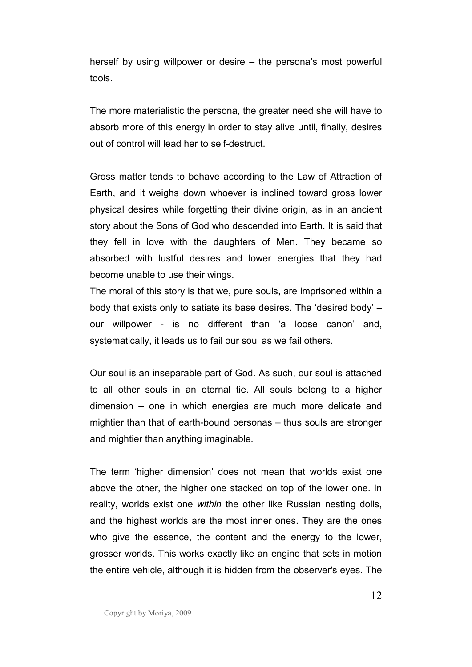herself by using willpower or desire – the persona's most powerful tools.

The more materialistic the persona, the greater need she will have to absorb more of this energy in order to stay alive until, finally, desires out of control will lead her to self-destruct.

Gross matter tends to behave according to the Law of Attraction of Earth, and it weighs down whoever is inclined toward gross lower physical desires while forgetting their divine origin, as in an ancient story about the Sons of God who descended into Earth. It is said that they fell in love with the daughters of Men. They became so absorbed with lustful desires and lower energies that they had become unable to use their wings.

The moral of this story is that we, pure souls, are imprisoned within a body that exists only to satiate its base desires. The 'desired body' – our willpower - is no different than 'a loose canon' and, systematically, it leads us to fail our soul as we fail others.

Our soul is an inseparable part of God. As such, our soul is attached to all other souls in an eternal tie. All souls belong to a higher dimension – one in which energies are much more delicate and mightier than that of earth-bound personas – thus souls are stronger and mightier than anything imaginable.

The term 'higher dimension' does not mean that worlds exist one above the other, the higher one stacked on top of the lower one. In reality, worlds exist one *within* the other like Russian nesting dolls, and the highest worlds are the most inner ones. They are the ones who give the essence, the content and the energy to the lower, grosser worlds. This works exactly like an engine that sets in motion the entire vehicle, although it is hidden from the observer's eyes. The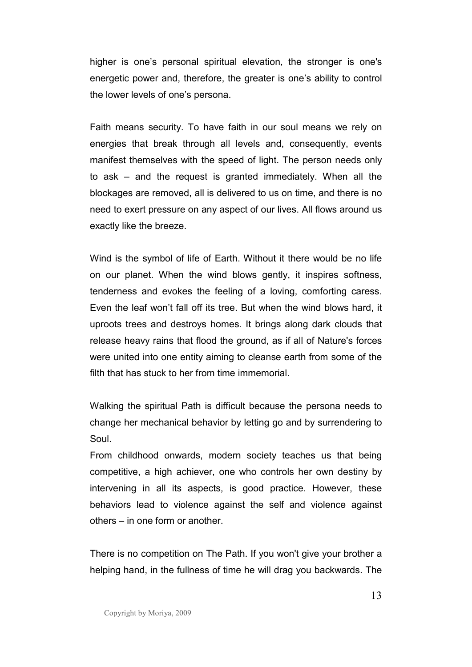higher is one's personal spiritual elevation, the stronger is one's energetic power and, therefore, the greater is one's ability to control the lower levels of one's persona.

Faith means security. To have faith in our soul means we rely on energies that break through all levels and, consequently, events manifest themselves with the speed of light. The person needs only to ask – and the request is granted immediately. When all the blockages are removed, all is delivered to us on time, and there is no need to exert pressure on any aspect of our lives. All flows around us exactly like the breeze.

Wind is the symbol of life of Earth. Without it there would be no life on our planet. When the wind blows gently, it inspires softness, tenderness and evokes the feeling of a loving, comforting caress. Even the leaf won't fall off its tree. But when the wind blows hard, it uproots trees and destroys homes. It brings along dark clouds that release heavy rains that flood the ground, as if all of Nature's forces were united into one entity aiming to cleanse earth from some of the filth that has stuck to her from time immemorial.

Walking the spiritual Path is difficult because the persona needs to change her mechanical behavior by letting go and by surrendering to Soul.

From childhood onwards, modern society teaches us that being competitive, a high achiever, one who controls her own destiny by intervening in all its aspects, is good practice. However, these behaviors lead to violence against the self and violence against others – in one form or another.

There is no competition on The Path. If you won't give your brother a helping hand, in the fullness of time he will drag you backwards. The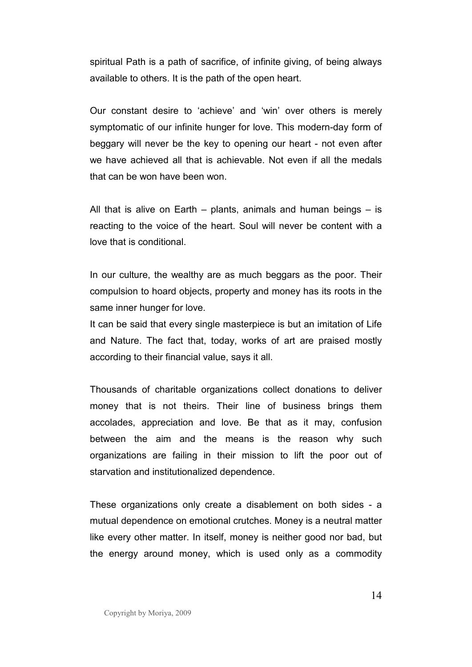spiritual Path is a path of sacrifice, of infinite giving, of being always available to others. It is the path of the open heart.

Our constant desire to 'achieve' and 'win' over others is merely symptomatic of our infinite hunger for love. This modern-day form of beggary will never be the key to opening our heart - not even after we have achieved all that is achievable. Not even if all the medals that can be won have been won.

All that is alive on Earth – plants, animals and human beings – is reacting to the voice of the heart. Soul will never be content with a love that is conditional.

In our culture, the wealthy are as much beggars as the poor. Their compulsion to hoard objects, property and money has its roots in the same inner hunger for love.

It can be said that every single masterpiece is but an imitation of Life and Nature. The fact that, today, works of art are praised mostly according to their financial value, says it all.

Thousands of charitable organizations collect donations to deliver money that is not theirs. Their line of business brings them accolades, appreciation and love. Be that as it may, confusion between the aim and the means is the reason why such organizations are failing in their mission to lift the poor out of starvation and institutionalized dependence.

These organizations only create a disablement on both sides - a mutual dependence on emotional crutches. Money is a neutral matter like every other matter. In itself, money is neither good nor bad, but the energy around money, which is used only as a commodity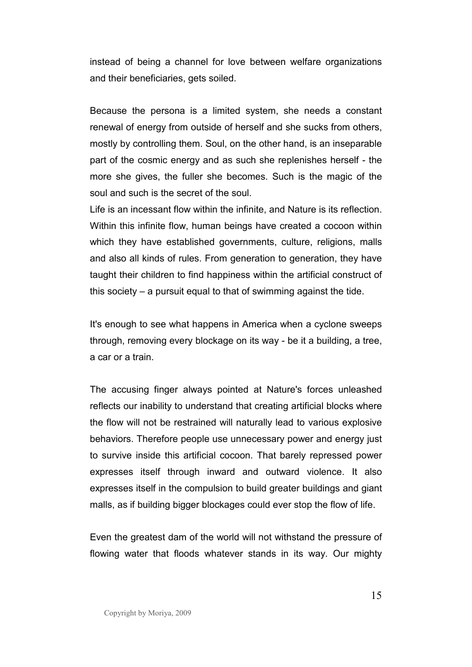instead of being a channel for love between welfare organizations and their beneficiaries, gets soiled.

Because the persona is a limited system, she needs a constant renewal of energy from outside of herself and she sucks from others, mostly by controlling them. Soul, on the other hand, is an inseparable part of the cosmic energy and as such she replenishes herself - the more she gives, the fuller she becomes. Such is the magic of the soul and such is the secret of the soul.

Life is an incessant flow within the infinite, and Nature is its reflection. Within this infinite flow, human beings have created a cocoon within which they have established governments, culture, religions, malls and also all kinds of rules. From generation to generation, they have taught their children to find happiness within the artificial construct of this society – a pursuit equal to that of swimming against the tide.

It's enough to see what happens in America when a cyclone sweeps through, removing every blockage on its way - be it a building, a tree, a car or a train.

The accusing finger always pointed at Nature's forces unleashed reflects our inability to understand that creating artificial blocks where the flow will not be restrained will naturally lead to various explosive behaviors. Therefore people use unnecessary power and energy just to survive inside this artificial cocoon. That barely repressed power expresses itself through inward and outward violence. It also expresses itself in the compulsion to build greater buildings and giant malls, as if building bigger blockages could ever stop the flow of life.

Even the greatest dam of the world will not withstand the pressure of flowing water that floods whatever stands in its way. Our mighty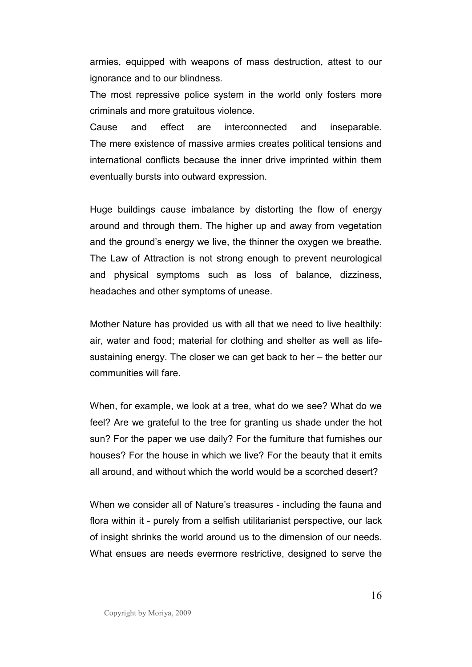armies, equipped with weapons of mass destruction, attest to our ignorance and to our blindness.

The most repressive police system in the world only fosters more criminals and more gratuitous violence.

Cause and effect are interconnected and inseparable. The mere existence of massive armies creates political tensions and international conflicts because the inner drive imprinted within them eventually bursts into outward expression.

Huge buildings cause imbalance by distorting the flow of energy around and through them. The higher up and away from vegetation and the ground's energy we live, the thinner the oxygen we breathe. The Law of Attraction is not strong enough to prevent neurological and physical symptoms such as loss of balance, dizziness, headaches and other symptoms of unease.

Mother Nature has provided us with all that we need to live healthily: air, water and food; material for clothing and shelter as well as lifesustaining energy. The closer we can get back to her – the better our communities will fare.

When, for example, we look at a tree, what do we see? What do we feel? Are we grateful to the tree for granting us shade under the hot sun? For the paper we use daily? For the furniture that furnishes our houses? For the house in which we live? For the beauty that it emits all around, and without which the world would be a scorched desert?

When we consider all of Nature's treasures - including the fauna and flora within it - purely from a selfish utilitarianist perspective, our lack of insight shrinks the world around us to the dimension of our needs. What ensues are needs evermore restrictive, designed to serve the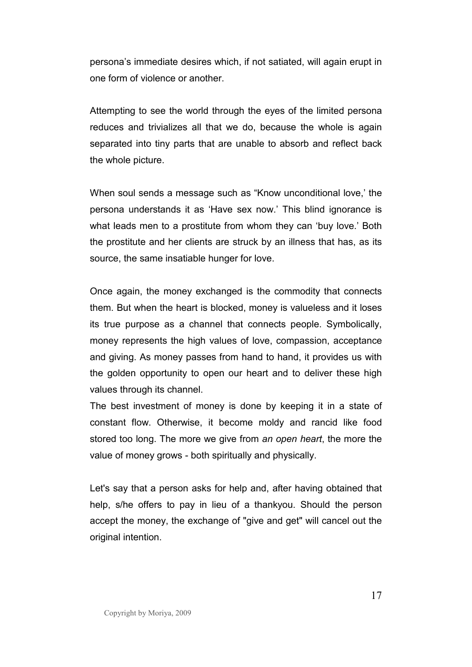persona's immediate desires which, if not satiated, will again erupt in one form of violence or another.

Attempting to see the world through the eyes of the limited persona reduces and trivializes all that we do, because the whole is again separated into tiny parts that are unable to absorb and reflect back the whole picture.

When soul sends a message such as "Know unconditional love,' the persona understands it as 'Have sex now.' This blind ignorance is what leads men to a prostitute from whom they can 'buy love.' Both the prostitute and her clients are struck by an illness that has, as its source, the same insatiable hunger for love.

Once again, the money exchanged is the commodity that connects them. But when the heart is blocked, money is valueless and it loses its true purpose as a channel that connects people. Symbolically, money represents the high values of love, compassion, acceptance and giving. As money passes from hand to hand, it provides us with the golden opportunity to open our heart and to deliver these high values through its channel.

The best investment of money is done by keeping it in a state of constant flow. Otherwise, it become moldy and rancid like food stored too long. The more we give from *an open heart*, the more the value of money grows - both spiritually and physically.

Let's say that a person asks for help and, after having obtained that help, s/he offers to pay in lieu of a thankyou. Should the person accept the money, the exchange of "give and get" will cancel out the original intention.